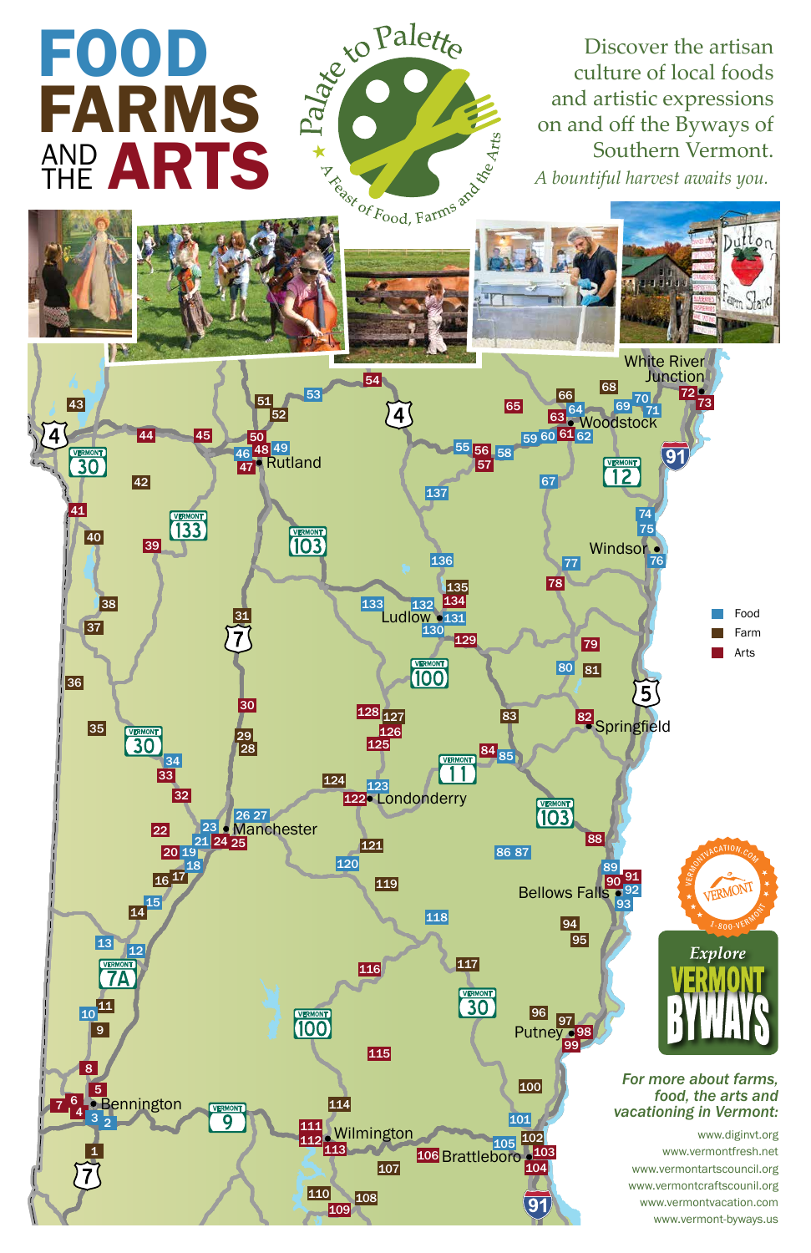